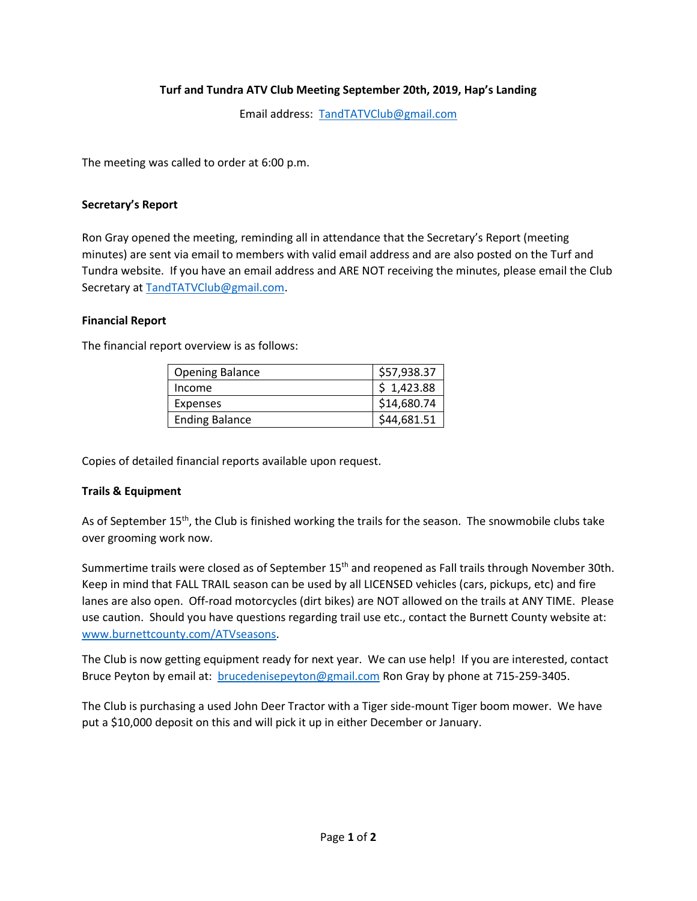## **Turf and Tundra ATV Club Meeting September 20th, 2019, Hap's Landing**

Email address: [TandTATVClub@gmail.com](mailto:TandTATVClub@gmail.com)

The meeting was called to order at 6:00 p.m.

### **Secretary's Report**

Ron Gray opened the meeting, reminding all in attendance that the Secretary's Report (meeting minutes) are sent via email to members with valid email address and are also posted on the Turf and Tundra website. If you have an email address and ARE NOT receiving the minutes, please email the Club Secretary at [TandTATVClub@gmail.com.](mailto:TandTATVClub@gmail.com)

### **Financial Report**

The financial report overview is as follows:

| <b>Opening Balance</b> | \$57,938.37 |
|------------------------|-------------|
| Income                 | \$1,423.88  |
| <b>Expenses</b>        | \$14,680.74 |
| <b>Ending Balance</b>  | \$44,681.51 |

Copies of detailed financial reports available upon request.

## **Trails & Equipment**

As of September 15<sup>th</sup>, the Club is finished working the trails for the season. The snowmobile clubs take over grooming work now.

Summertime trails were closed as of September 15<sup>th</sup> and reopened as Fall trails through November 30th. Keep in mind that FALL TRAIL season can be used by all LICENSED vehicles (cars, pickups, etc) and fire lanes are also open. Off-road motorcycles (dirt bikes) are NOT allowed on the trails at ANY TIME. Please use caution. Should you have questions regarding trail use etc., contact the Burnett County website at: [www.burnettcounty.com/ATVseasons.](http://www.burnettcounty.com/ATVseasons)

The Club is now getting equipment ready for next year. We can use help! If you are interested, contact Bruce Peyton by email at: [brucedenisepeyton@gmail.com](mailto:brucedenisepeyton@gmail.com) Ron Gray by phone at 715-259-3405.

The Club is purchasing a used John Deer Tractor with a Tiger side-mount Tiger boom mower. We have put a \$10,000 deposit on this and will pick it up in either December or January.